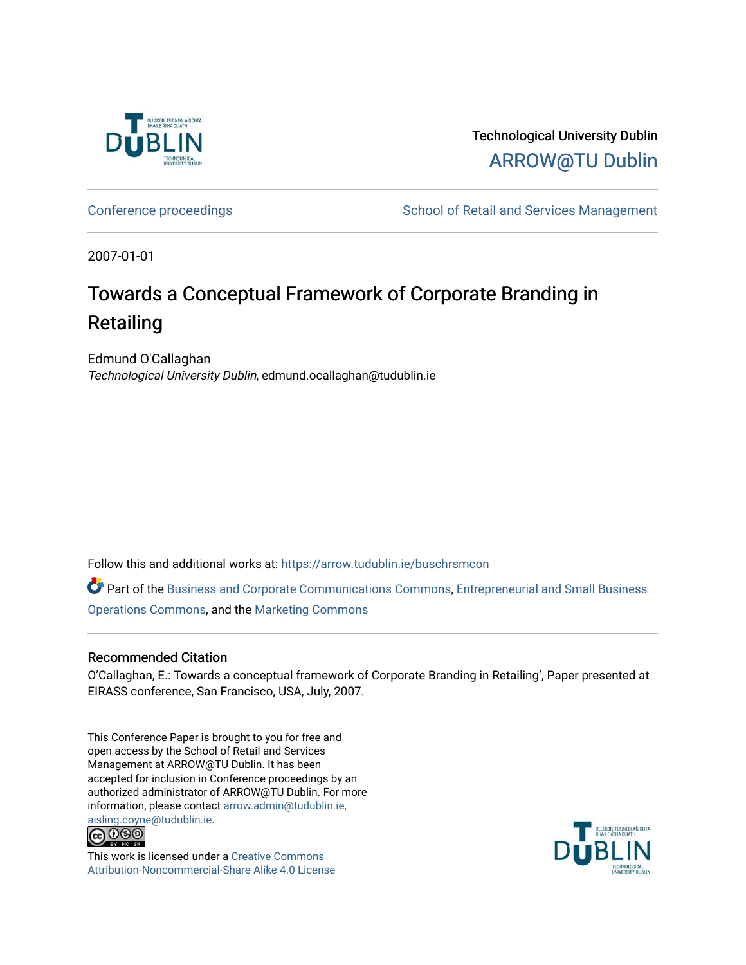

Technological University Dublin [ARROW@TU Dublin](https://arrow.tudublin.ie/) 

[Conference proceedings](https://arrow.tudublin.ie/buschrsmcon) The School of Retail and Services Management

2007-01-01

## Towards a Conceptual Framework of Corporate Branding in Retailing

Edmund O'Callaghan Technological University Dublin, edmund.ocallaghan@tudublin.ie

Follow this and additional works at: [https://arrow.tudublin.ie/buschrsmcon](https://arrow.tudublin.ie/buschrsmcon?utm_source=arrow.tudublin.ie%2Fbuschrsmcon%2F15&utm_medium=PDF&utm_campaign=PDFCoverPages) 

Part of the [Business and Corporate Communications Commons](http://network.bepress.com/hgg/discipline/627?utm_source=arrow.tudublin.ie%2Fbuschrsmcon%2F15&utm_medium=PDF&utm_campaign=PDFCoverPages), [Entrepreneurial and Small Business](http://network.bepress.com/hgg/discipline/630?utm_source=arrow.tudublin.ie%2Fbuschrsmcon%2F15&utm_medium=PDF&utm_campaign=PDFCoverPages)  [Operations Commons](http://network.bepress.com/hgg/discipline/630?utm_source=arrow.tudublin.ie%2Fbuschrsmcon%2F15&utm_medium=PDF&utm_campaign=PDFCoverPages), and the [Marketing Commons](http://network.bepress.com/hgg/discipline/638?utm_source=arrow.tudublin.ie%2Fbuschrsmcon%2F15&utm_medium=PDF&utm_campaign=PDFCoverPages)

#### Recommended Citation

O'Callaghan, E.: Towards a conceptual framework of Corporate Branding in Retailing', Paper presented at EIRASS conference, San Francisco, USA, July, 2007.

This Conference Paper is brought to you for free and open access by the School of Retail and Services Management at ARROW@TU Dublin. It has been accepted for inclusion in Conference proceedings by an authorized administrator of ARROW@TU Dublin. For more information, please contact [arrow.admin@tudublin.ie,](mailto:arrow.admin@tudublin.ie,%20aisling.coyne@tudublin.ie)  [aisling.coyne@tudublin.ie.](mailto:arrow.admin@tudublin.ie,%20aisling.coyne@tudublin.ie)<br>@060



This work is licensed under a [Creative Commons](http://creativecommons.org/licenses/by-nc-sa/4.0/) [Attribution-Noncommercial-Share Alike 4.0 License](http://creativecommons.org/licenses/by-nc-sa/4.0/)

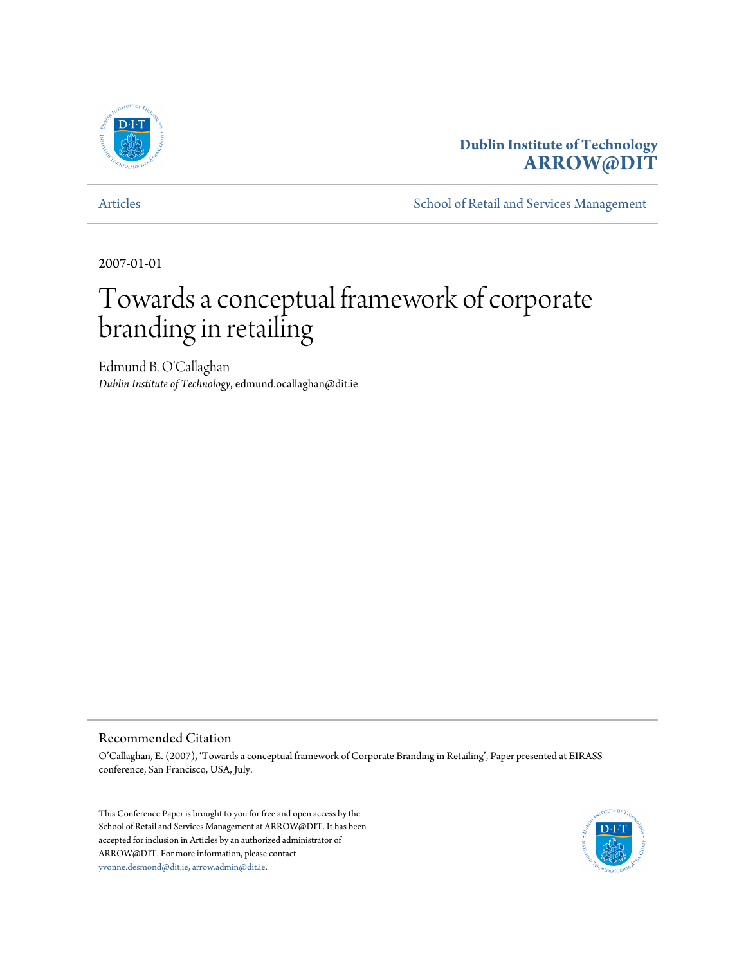

### **Dublin Institute of Technology [ARROW@DIT](http://arrow.dit.ie)**

[Articles](http://arrow.dit.ie/buschrsmart) **[School of Retail and Services Management](http://arrow.dit.ie/buschrsm)** 

2007-01-01

# Towards a conceptual framework of corporate branding in retailing

Edmund B. O'Callaghan *Dublin Institute of Technology*, edmund.ocallaghan@dit.ie

#### Recommended Citation

O'Callaghan, E. (2007), 'Towards a conceptual framework of Corporate Branding in Retailing', Paper presented at EIRASS conference, San Francisco, USA, July.

This Conference Paper is brought to you for free and open access by the School of Retail and Services Management at ARROW@DIT. It has been accepted for inclusion in Articles by an authorized administrator of ARROW@DIT. For more information, please contact [yvonne.desmond@dit.ie, arrow.admin@dit.ie.](mailto:yvonne.desmond@dit.ie, arrow.admin@dit.ie)

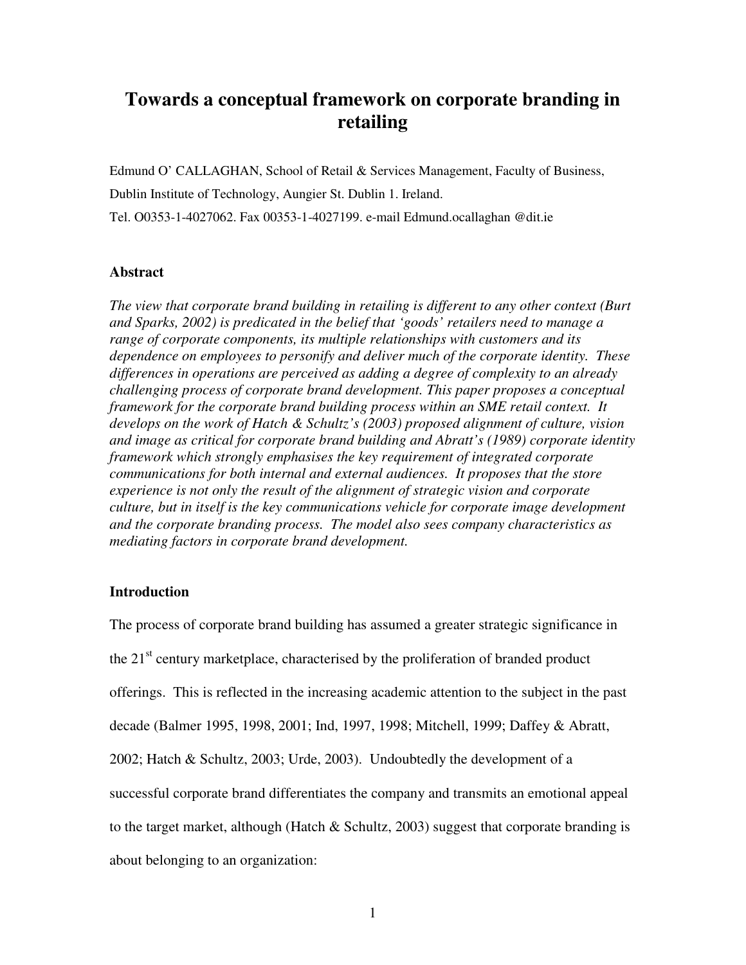## **Towards a conceptual framework on corporate branding in retailing**

Edmund O' CALLAGHAN, School of Retail & Services Management, Faculty of Business, Dublin Institute of Technology, Aungier St. Dublin 1. Ireland. Tel. O0353-1-4027062. Fax 00353-1-4027199. e-mail Edmund.ocallaghan @dit.ie

#### **Abstract**

*The view that corporate brand building in retailing is different to any other context (Burt and Sparks, 2002) is predicated in the belief that 'goods' retailers need to manage a range of corporate components, its multiple relationships with customers and its dependence on employees to personify and deliver much of the corporate identity. These differences in operations are perceived as adding a degree of complexity to an already challenging process of corporate brand development. This paper proposes a conceptual framework for the corporate brand building process within an SME retail context. It develops on the work of Hatch & Schultz's (2003) proposed alignment of culture, vision and image as critical for corporate brand building and Abratt's (1989) corporate identity framework which strongly emphasises the key requirement of integrated corporate communications for both internal and external audiences. It proposes that the store experience is not only the result of the alignment of strategic vision and corporate culture, but in itself is the key communications vehicle for corporate image development and the corporate branding process. The model also sees company characteristics as mediating factors in corporate brand development.* 

#### **Introduction**

The process of corporate brand building has assumed a greater strategic significance in the  $21<sup>st</sup>$  century marketplace, characterised by the proliferation of branded product offerings. This is reflected in the increasing academic attention to the subject in the past decade (Balmer 1995, 1998, 2001; Ind, 1997, 1998; Mitchell, 1999; Daffey & Abratt, 2002; Hatch & Schultz, 2003; Urde, 2003). Undoubtedly the development of a successful corporate brand differentiates the company and transmits an emotional appeal to the target market, although (Hatch  $\&$  Schultz, 2003) suggest that corporate branding is about belonging to an organization: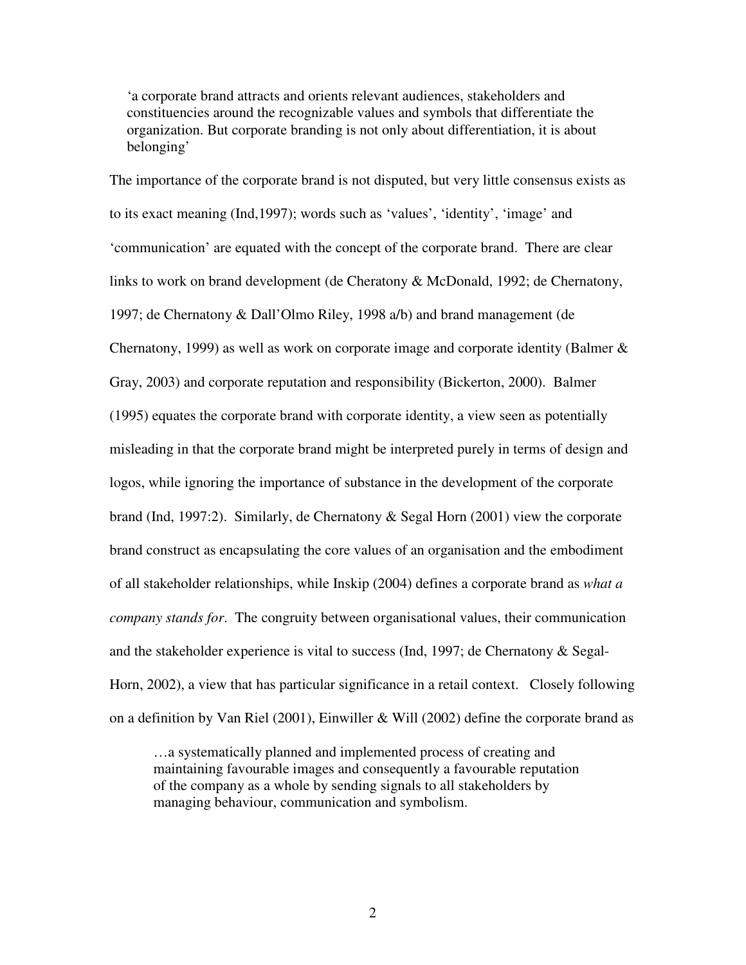'a corporate brand attracts and orients relevant audiences, stakeholders and constituencies around the recognizable values and symbols that differentiate the organization. But corporate branding is not only about differentiation, it is about belonging'

The importance of the corporate brand is not disputed, but very little consensus exists as to its exact meaning (Ind,1997); words such as 'values', 'identity', 'image' and 'communication' are equated with the concept of the corporate brand. There are clear links to work on brand development (de Cheratony & McDonald, 1992; de Chernatony, 1997; de Chernatony & Dall'Olmo Riley, 1998 a/b) and brand management (de Chernatony, 1999) as well as work on corporate image and corporate identity (Balmer & Gray, 2003) and corporate reputation and responsibility (Bickerton, 2000). Balmer (1995) equates the corporate brand with corporate identity, a view seen as potentially misleading in that the corporate brand might be interpreted purely in terms of design and logos, while ignoring the importance of substance in the development of the corporate brand (Ind, 1997:2). Similarly, de Chernatony & Segal Horn (2001) view the corporate brand construct as encapsulating the core values of an organisation and the embodiment of all stakeholder relationships, while Inskip (2004) defines a corporate brand as *what a company stands for*. The congruity between organisational values, their communication and the stakeholder experience is vital to success (Ind, 1997; de Chernatony & Segal-Horn, 2002), a view that has particular significance in a retail context. Closely following on a definition by Van Riel (2001), Einwiller & Will (2002) define the corporate brand as

…a systematically planned and implemented process of creating and maintaining favourable images and consequently a favourable reputation of the company as a whole by sending signals to all stakeholders by managing behaviour, communication and symbolism.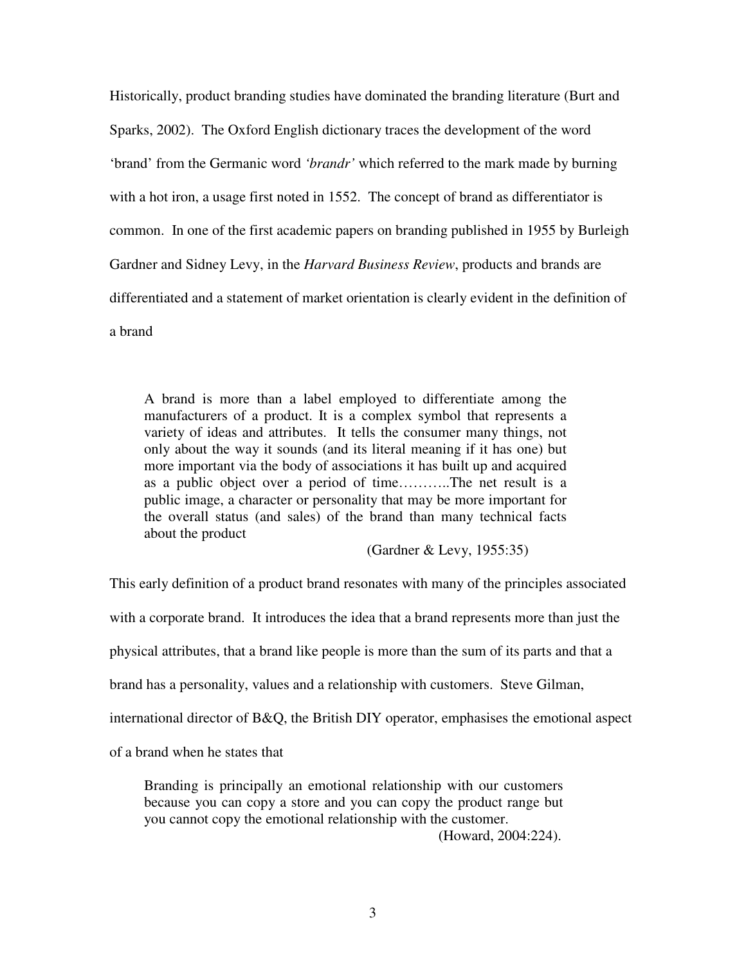Historically, product branding studies have dominated the branding literature (Burt and Sparks, 2002). The Oxford English dictionary traces the development of the word 'brand' from the Germanic word *'brandr'* which referred to the mark made by burning with a hot iron, a usage first noted in 1552. The concept of brand as differentiator is common. In one of the first academic papers on branding published in 1955 by Burleigh Gardner and Sidney Levy, in the *Harvard Business Review*, products and brands are differentiated and a statement of market orientation is clearly evident in the definition of a brand

A brand is more than a label employed to differentiate among the manufacturers of a product. It is a complex symbol that represents a variety of ideas and attributes. It tells the consumer many things, not only about the way it sounds (and its literal meaning if it has one) but more important via the body of associations it has built up and acquired as a public object over a period of time………..The net result is a public image, a character or personality that may be more important for the overall status (and sales) of the brand than many technical facts about the product

(Gardner & Levy, 1955:35)

This early definition of a product brand resonates with many of the principles associated

with a corporate brand. It introduces the idea that a brand represents more than just the

physical attributes, that a brand like people is more than the sum of its parts and that a

brand has a personality, values and a relationship with customers. Steve Gilman,

international director of B&Q, the British DIY operator, emphasises the emotional aspect

of a brand when he states that

Branding is principally an emotional relationship with our customers because you can copy a store and you can copy the product range but you cannot copy the emotional relationship with the customer.

(Howard, 2004:224).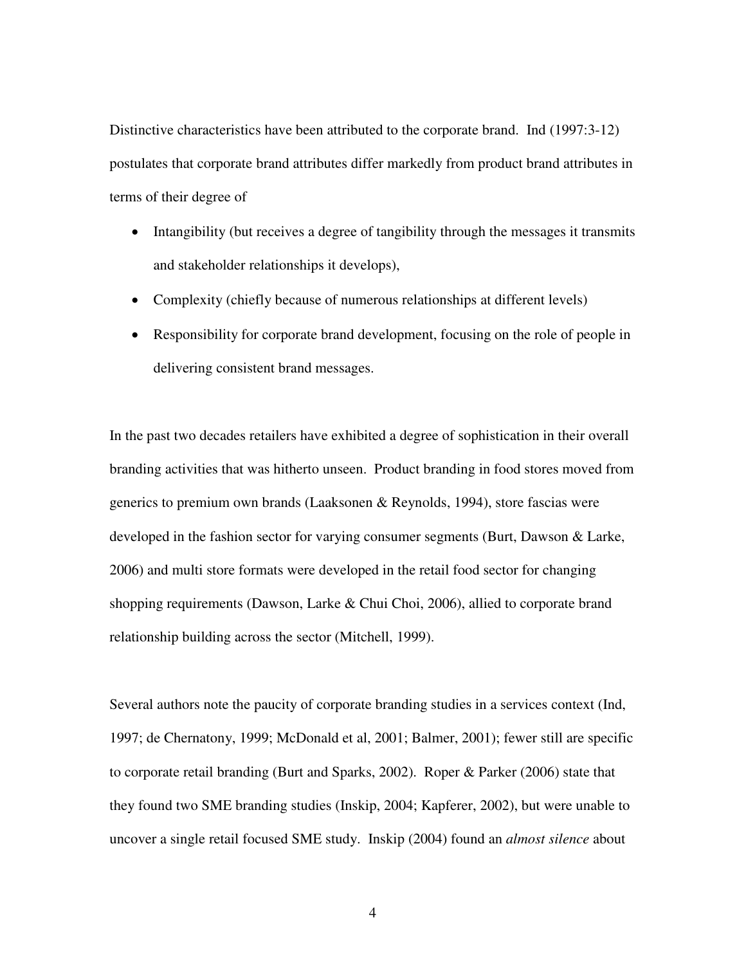Distinctive characteristics have been attributed to the corporate brand. Ind (1997:3-12) postulates that corporate brand attributes differ markedly from product brand attributes in terms of their degree of

- Intangibility (but receives a degree of tangibility through the messages it transmits and stakeholder relationships it develops),
- Complexity (chiefly because of numerous relationships at different levels)
- Responsibility for corporate brand development, focusing on the role of people in delivering consistent brand messages.

In the past two decades retailers have exhibited a degree of sophistication in their overall branding activities that was hitherto unseen. Product branding in food stores moved from generics to premium own brands (Laaksonen & Reynolds, 1994), store fascias were developed in the fashion sector for varying consumer segments (Burt, Dawson & Larke, 2006) and multi store formats were developed in the retail food sector for changing shopping requirements (Dawson, Larke & Chui Choi, 2006), allied to corporate brand relationship building across the sector (Mitchell, 1999).

Several authors note the paucity of corporate branding studies in a services context (Ind, 1997; de Chernatony, 1999; McDonald et al, 2001; Balmer, 2001); fewer still are specific to corporate retail branding (Burt and Sparks, 2002). Roper & Parker (2006) state that they found two SME branding studies (Inskip, 2004; Kapferer, 2002), but were unable to uncover a single retail focused SME study. Inskip (2004) found an *almost silence* about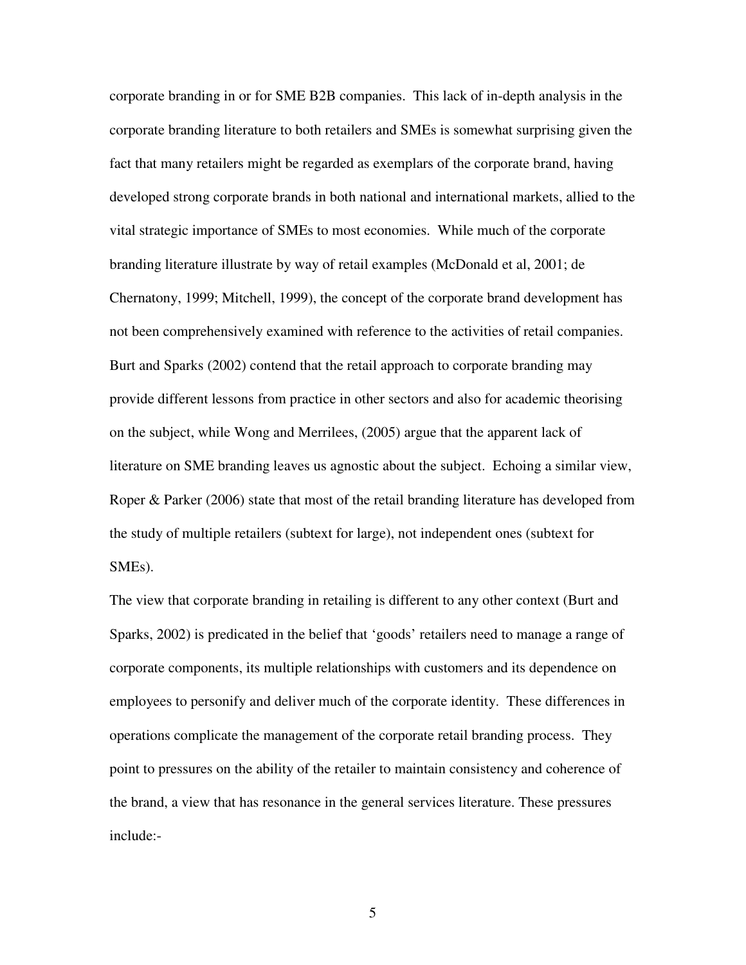corporate branding in or for SME B2B companies. This lack of in-depth analysis in the corporate branding literature to both retailers and SMEs is somewhat surprising given the fact that many retailers might be regarded as exemplars of the corporate brand, having developed strong corporate brands in both national and international markets, allied to the vital strategic importance of SMEs to most economies. While much of the corporate branding literature illustrate by way of retail examples (McDonald et al, 2001; de Chernatony, 1999; Mitchell, 1999), the concept of the corporate brand development has not been comprehensively examined with reference to the activities of retail companies. Burt and Sparks (2002) contend that the retail approach to corporate branding may provide different lessons from practice in other sectors and also for academic theorising on the subject, while Wong and Merrilees, (2005) argue that the apparent lack of literature on SME branding leaves us agnostic about the subject. Echoing a similar view, Roper & Parker (2006) state that most of the retail branding literature has developed from the study of multiple retailers (subtext for large), not independent ones (subtext for SMEs).

The view that corporate branding in retailing is different to any other context (Burt and Sparks, 2002) is predicated in the belief that 'goods' retailers need to manage a range of corporate components, its multiple relationships with customers and its dependence on employees to personify and deliver much of the corporate identity. These differences in operations complicate the management of the corporate retail branding process. They point to pressures on the ability of the retailer to maintain consistency and coherence of the brand, a view that has resonance in the general services literature. These pressures include:-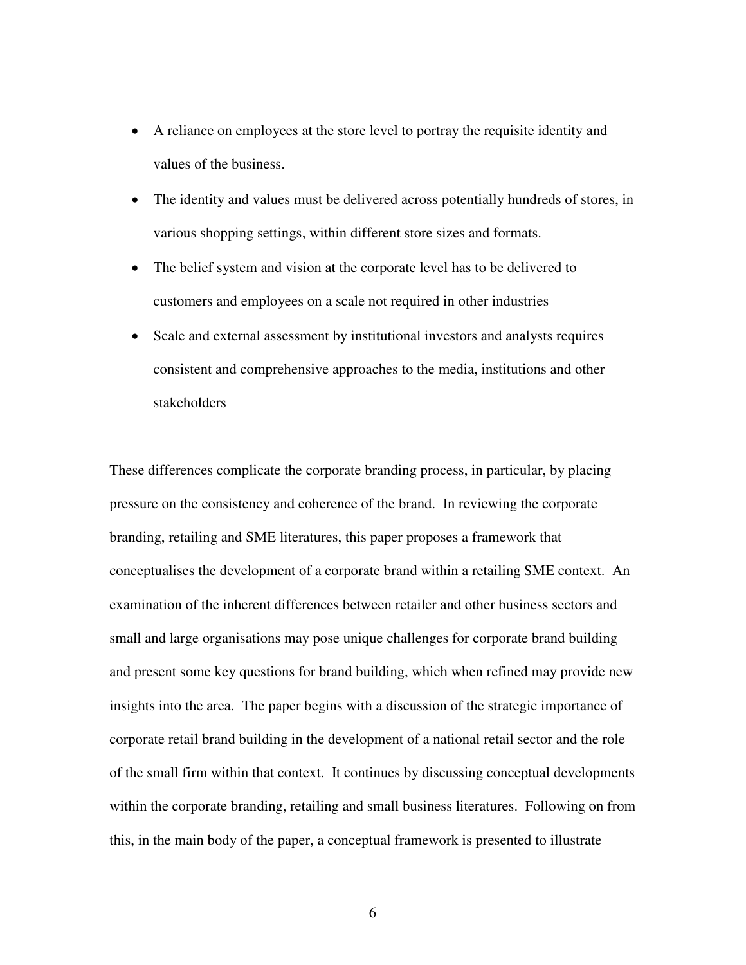- A reliance on employees at the store level to portray the requisite identity and values of the business.
- The identity and values must be delivered across potentially hundreds of stores, in various shopping settings, within different store sizes and formats.
- The belief system and vision at the corporate level has to be delivered to customers and employees on a scale not required in other industries
- Scale and external assessment by institutional investors and analysts requires consistent and comprehensive approaches to the media, institutions and other stakeholders

These differences complicate the corporate branding process, in particular, by placing pressure on the consistency and coherence of the brand. In reviewing the corporate branding, retailing and SME literatures, this paper proposes a framework that conceptualises the development of a corporate brand within a retailing SME context. An examination of the inherent differences between retailer and other business sectors and small and large organisations may pose unique challenges for corporate brand building and present some key questions for brand building, which when refined may provide new insights into the area. The paper begins with a discussion of the strategic importance of corporate retail brand building in the development of a national retail sector and the role of the small firm within that context. It continues by discussing conceptual developments within the corporate branding, retailing and small business literatures. Following on from this, in the main body of the paper, a conceptual framework is presented to illustrate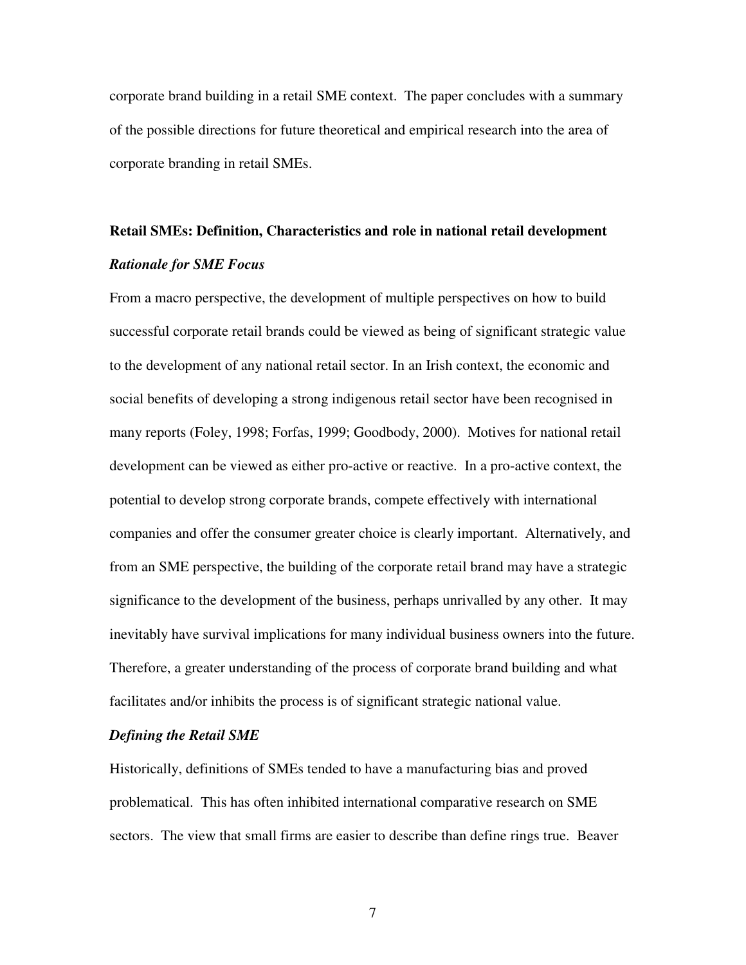corporate brand building in a retail SME context. The paper concludes with a summary of the possible directions for future theoretical and empirical research into the area of corporate branding in retail SMEs.

## **Retail SMEs: Definition, Characteristics and role in national retail development**  *Rationale for SME Focus*

From a macro perspective, the development of multiple perspectives on how to build successful corporate retail brands could be viewed as being of significant strategic value to the development of any national retail sector. In an Irish context, the economic and social benefits of developing a strong indigenous retail sector have been recognised in many reports (Foley, 1998; Forfas, 1999; Goodbody, 2000). Motives for national retail development can be viewed as either pro-active or reactive. In a pro-active context, the potential to develop strong corporate brands, compete effectively with international companies and offer the consumer greater choice is clearly important. Alternatively, and from an SME perspective, the building of the corporate retail brand may have a strategic significance to the development of the business, perhaps unrivalled by any other. It may inevitably have survival implications for many individual business owners into the future. Therefore, a greater understanding of the process of corporate brand building and what facilitates and/or inhibits the process is of significant strategic national value.

#### *Defining the Retail SME*

Historically, definitions of SMEs tended to have a manufacturing bias and proved problematical. This has often inhibited international comparative research on SME sectors. The view that small firms are easier to describe than define rings true. Beaver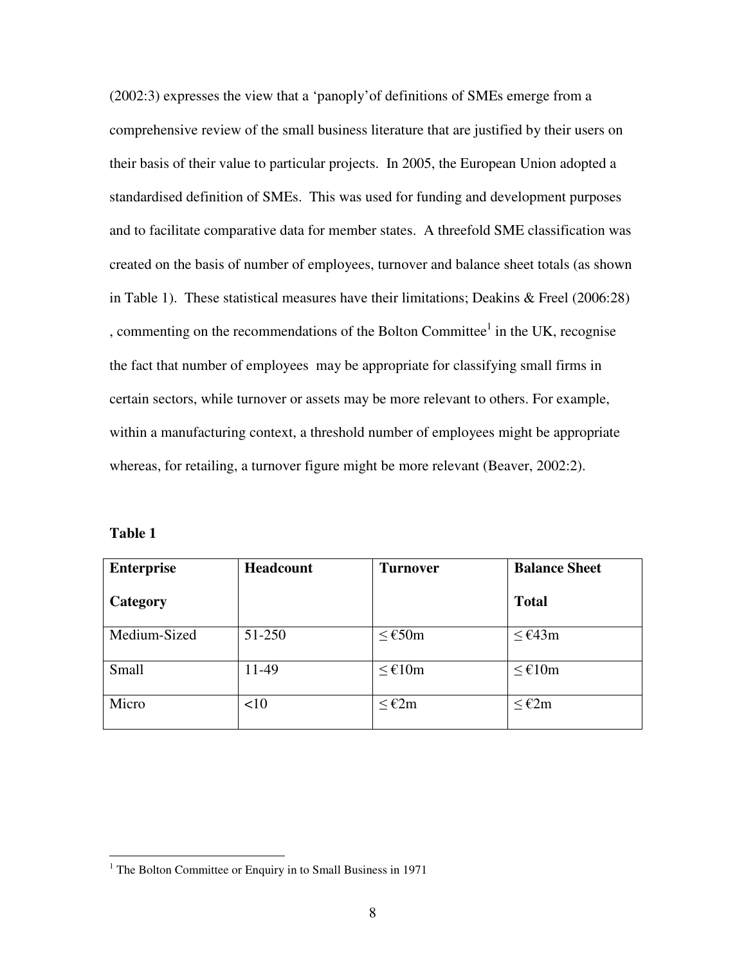(2002:3) expresses the view that a 'panoply'of definitions of SMEs emerge from a comprehensive review of the small business literature that are justified by their users on their basis of their value to particular projects. In 2005, the European Union adopted a standardised definition of SMEs. This was used for funding and development purposes and to facilitate comparative data for member states. A threefold SME classification was created on the basis of number of employees, turnover and balance sheet totals (as shown in Table 1). These statistical measures have their limitations; Deakins & Freel (2006:28) , commenting on the recommendations of the Bolton Committee $<sup>1</sup>$  in the UK, recognise</sup> the fact that number of employees may be appropriate for classifying small firms in certain sectors, while turnover or assets may be more relevant to others. For example, within a manufacturing context, a threshold number of employees might be appropriate whereas, for retailing, a turnover figure might be more relevant (Beaver, 2002:2).

| anı<br>≏<br>u |  |
|---------------|--|
|               |  |

 $\overline{a}$ 

| <b>Enterprise</b> | <b>Headcount</b> | <b>Turnover</b>    | <b>Balance Sheet</b> |
|-------------------|------------------|--------------------|----------------------|
| Category          |                  |                    | <b>Total</b>         |
| Medium-Sized      | 51-250           | $≤$ €50m           | $≤$ €43m             |
| Small             | 11-49            | $≤$ €10m           | $≤$ €10m             |
| Micro             | <10              | $\leq \epsilon$ 2m | $≤$ €2m              |

<sup>&</sup>lt;sup>1</sup> The Bolton Committee or Enquiry in to Small Business in 1971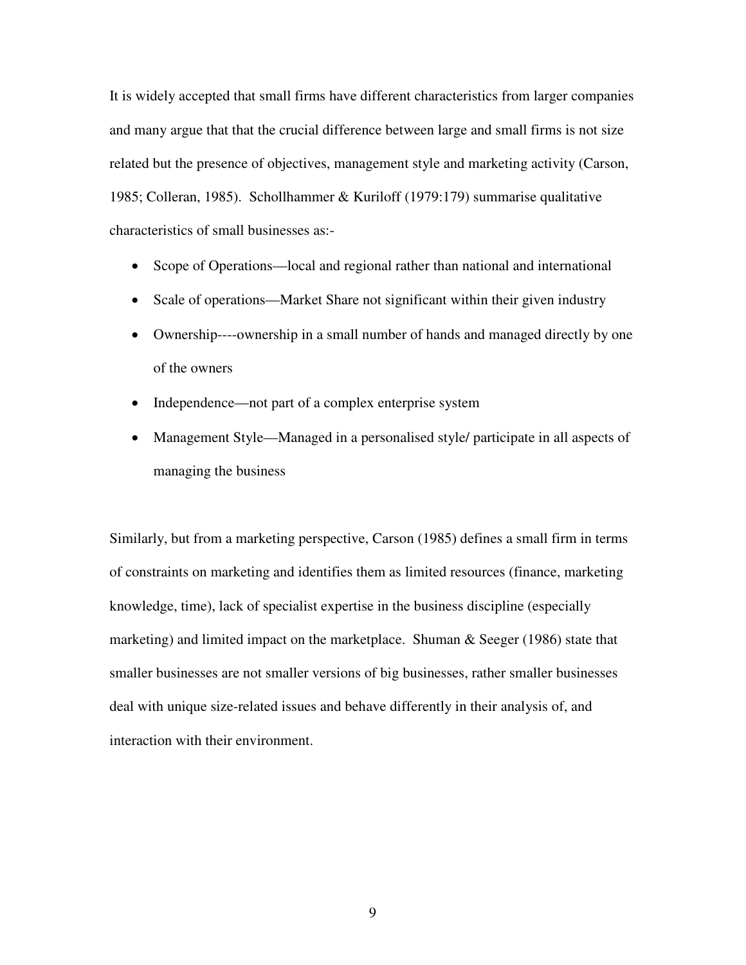It is widely accepted that small firms have different characteristics from larger companies and many argue that that the crucial difference between large and small firms is not size related but the presence of objectives, management style and marketing activity (Carson, 1985; Colleran, 1985). Schollhammer & Kuriloff (1979:179) summarise qualitative characteristics of small businesses as:-

- Scope of Operations—local and regional rather than national and international
- Scale of operations—Market Share not significant within their given industry
- Ownership----ownership in a small number of hands and managed directly by one of the owners
- Independence—not part of a complex enterprise system
- Management Style—Managed in a personalised style/ participate in all aspects of managing the business

Similarly, but from a marketing perspective, Carson (1985) defines a small firm in terms of constraints on marketing and identifies them as limited resources (finance, marketing knowledge, time), lack of specialist expertise in the business discipline (especially marketing) and limited impact on the marketplace. Shuman & Seeger (1986) state that smaller businesses are not smaller versions of big businesses, rather smaller businesses deal with unique size-related issues and behave differently in their analysis of, and interaction with their environment.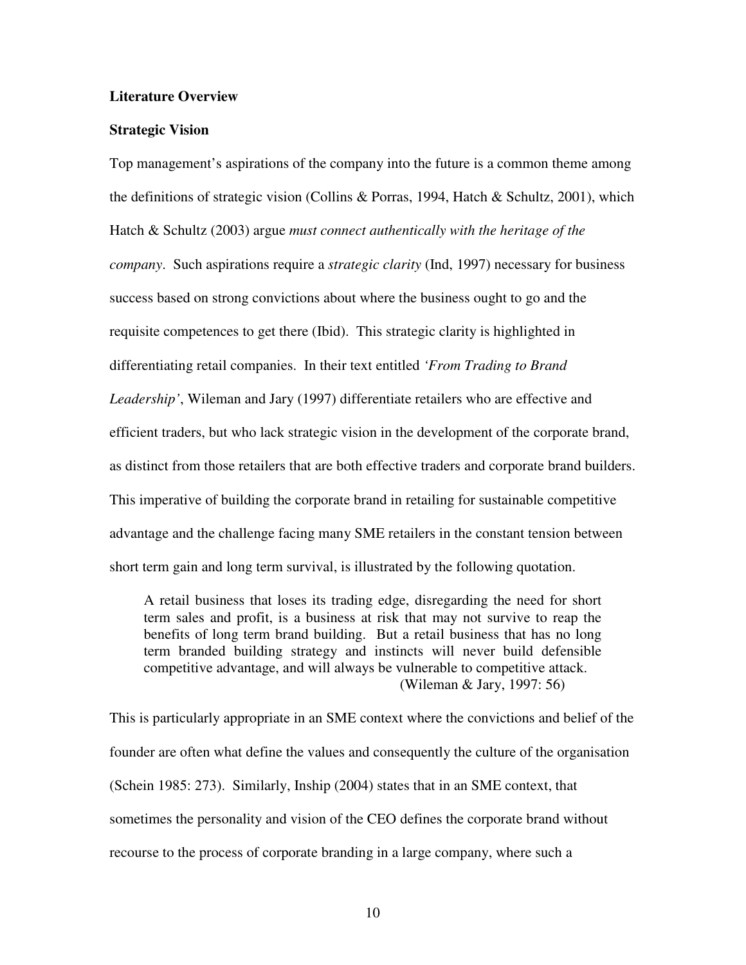#### **Literature Overview**

#### **Strategic Vision**

Top management's aspirations of the company into the future is a common theme among the definitions of strategic vision (Collins & Porras, 1994, Hatch & Schultz, 2001), which Hatch & Schultz (2003) argue *must connect authentically with the heritage of the company*. Such aspirations require a *strategic clarity* (Ind, 1997) necessary for business success based on strong convictions about where the business ought to go and the requisite competences to get there (Ibid). This strategic clarity is highlighted in differentiating retail companies. In their text entitled *'From Trading to Brand Leadership'*, Wileman and Jary (1997) differentiate retailers who are effective and efficient traders, but who lack strategic vision in the development of the corporate brand, as distinct from those retailers that are both effective traders and corporate brand builders. This imperative of building the corporate brand in retailing for sustainable competitive advantage and the challenge facing many SME retailers in the constant tension between short term gain and long term survival, is illustrated by the following quotation.

A retail business that loses its trading edge, disregarding the need for short term sales and profit, is a business at risk that may not survive to reap the benefits of long term brand building. But a retail business that has no long term branded building strategy and instincts will never build defensible competitive advantage, and will always be vulnerable to competitive attack. (Wileman & Jary, 1997: 56)

This is particularly appropriate in an SME context where the convictions and belief of the founder are often what define the values and consequently the culture of the organisation (Schein 1985: 273). Similarly, Inship (2004) states that in an SME context, that sometimes the personality and vision of the CEO defines the corporate brand without recourse to the process of corporate branding in a large company, where such a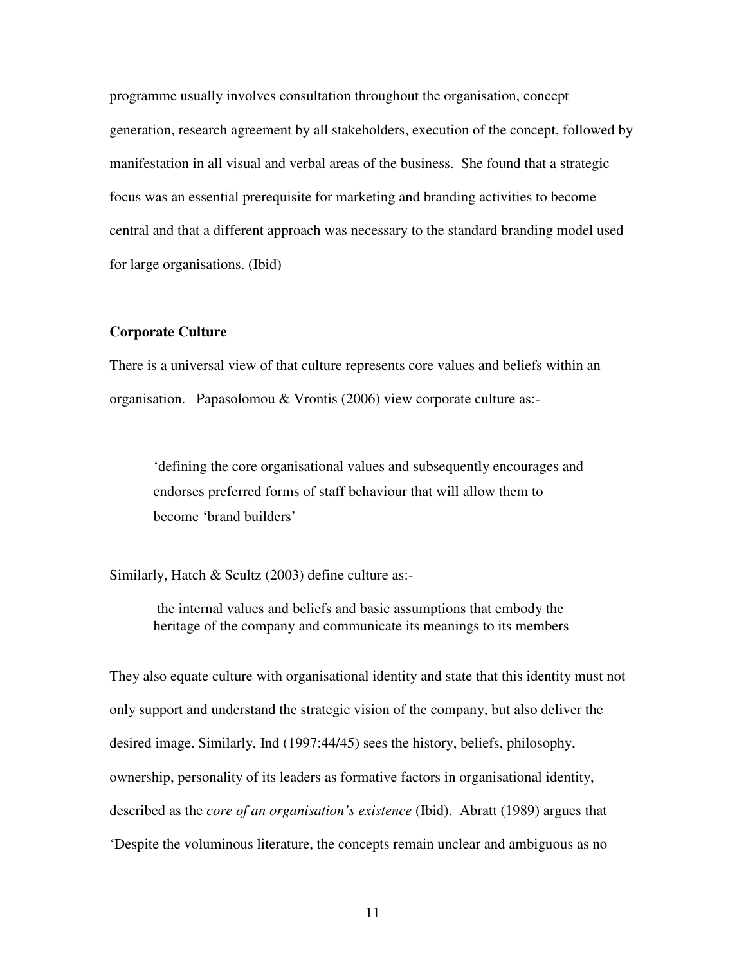programme usually involves consultation throughout the organisation, concept generation, research agreement by all stakeholders, execution of the concept, followed by manifestation in all visual and verbal areas of the business. She found that a strategic focus was an essential prerequisite for marketing and branding activities to become central and that a different approach was necessary to the standard branding model used for large organisations. (Ibid)

#### **Corporate Culture**

There is a universal view of that culture represents core values and beliefs within an organisation. Papasolomou & Vrontis (2006) view corporate culture as:-

'defining the core organisational values and subsequently encourages and endorses preferred forms of staff behaviour that will allow them to become 'brand builders'

Similarly, Hatch & Scultz (2003) define culture as:-

 the internal values and beliefs and basic assumptions that embody the heritage of the company and communicate its meanings to its members

They also equate culture with organisational identity and state that this identity must not only support and understand the strategic vision of the company, but also deliver the desired image. Similarly, Ind (1997:44/45) sees the history, beliefs, philosophy, ownership, personality of its leaders as formative factors in organisational identity, described as the *core of an organisation's existence* (Ibid). Abratt (1989) argues that 'Despite the voluminous literature, the concepts remain unclear and ambiguous as no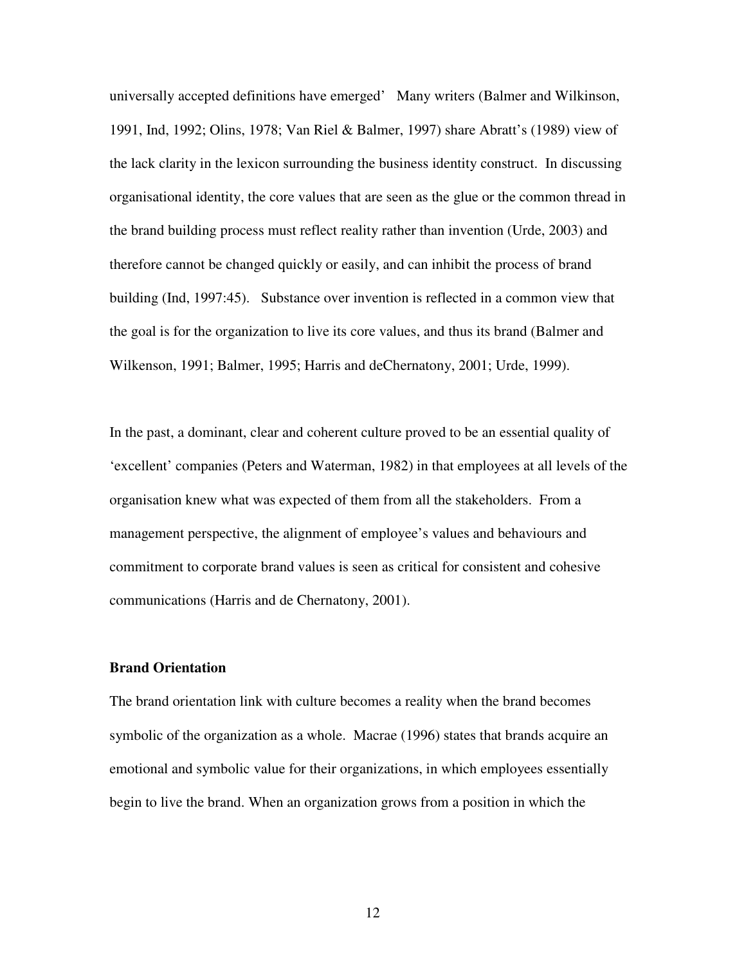universally accepted definitions have emerged' Many writers (Balmer and Wilkinson, 1991, Ind, 1992; Olins, 1978; Van Riel & Balmer, 1997) share Abratt's (1989) view of the lack clarity in the lexicon surrounding the business identity construct. In discussing organisational identity, the core values that are seen as the glue or the common thread in the brand building process must reflect reality rather than invention (Urde, 2003) and therefore cannot be changed quickly or easily, and can inhibit the process of brand building (Ind, 1997:45). Substance over invention is reflected in a common view that the goal is for the organization to live its core values, and thus its brand (Balmer and Wilkenson, 1991; Balmer, 1995; Harris and deChernatony, 2001; Urde, 1999).

In the past, a dominant, clear and coherent culture proved to be an essential quality of 'excellent' companies (Peters and Waterman, 1982) in that employees at all levels of the organisation knew what was expected of them from all the stakeholders. From a management perspective, the alignment of employee's values and behaviours and commitment to corporate brand values is seen as critical for consistent and cohesive communications (Harris and de Chernatony, 2001).

#### **Brand Orientation**

The brand orientation link with culture becomes a reality when the brand becomes symbolic of the organization as a whole. Macrae (1996) states that brands acquire an emotional and symbolic value for their organizations, in which employees essentially begin to live the brand. When an organization grows from a position in which the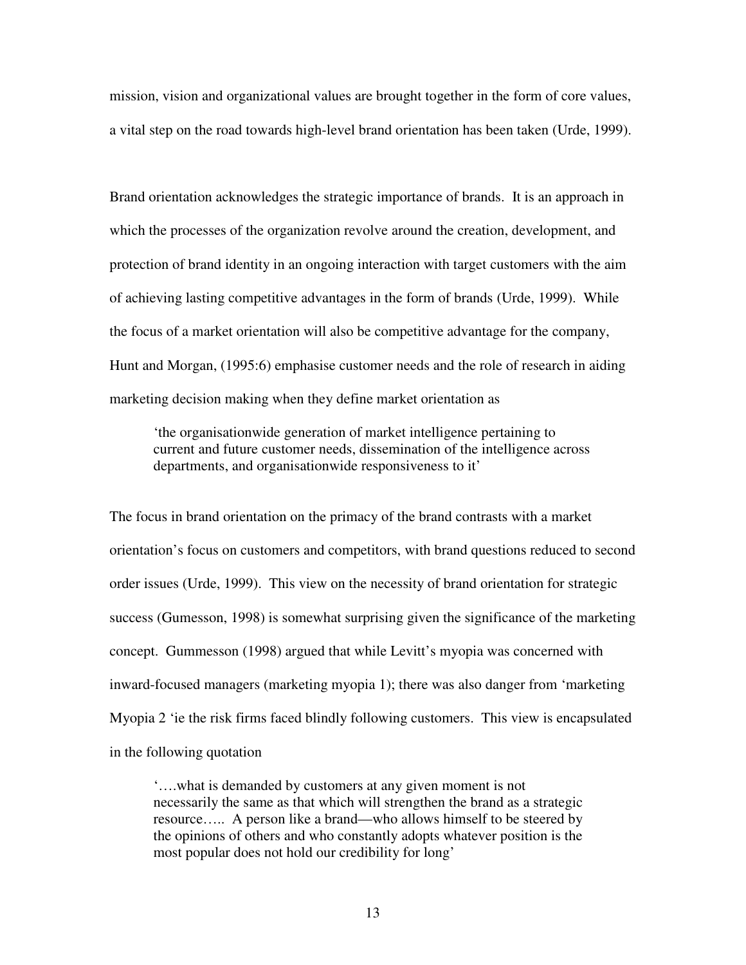mission, vision and organizational values are brought together in the form of core values, a vital step on the road towards high-level brand orientation has been taken (Urde, 1999).

Brand orientation acknowledges the strategic importance of brands. It is an approach in which the processes of the organization revolve around the creation, development, and protection of brand identity in an ongoing interaction with target customers with the aim of achieving lasting competitive advantages in the form of brands (Urde, 1999). While the focus of a market orientation will also be competitive advantage for the company, Hunt and Morgan, (1995:6) emphasise customer needs and the role of research in aiding marketing decision making when they define market orientation as

'the organisationwide generation of market intelligence pertaining to current and future customer needs, dissemination of the intelligence across departments, and organisationwide responsiveness to it'

The focus in brand orientation on the primacy of the brand contrasts with a market orientation's focus on customers and competitors, with brand questions reduced to second order issues (Urde, 1999). This view on the necessity of brand orientation for strategic success (Gumesson, 1998) is somewhat surprising given the significance of the marketing concept. Gummesson (1998) argued that while Levitt's myopia was concerned with inward-focused managers (marketing myopia 1); there was also danger from 'marketing Myopia 2 'ie the risk firms faced blindly following customers. This view is encapsulated in the following quotation

'….what is demanded by customers at any given moment is not necessarily the same as that which will strengthen the brand as a strategic resource….. A person like a brand—who allows himself to be steered by the opinions of others and who constantly adopts whatever position is the most popular does not hold our credibility for long'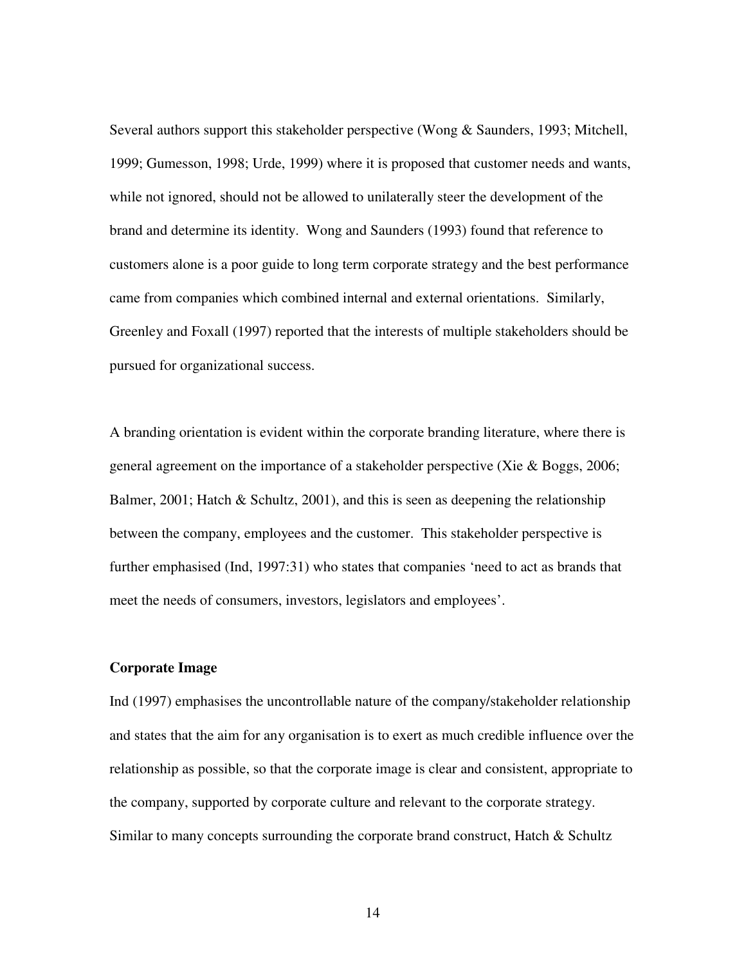Several authors support this stakeholder perspective (Wong & Saunders, 1993; Mitchell, 1999; Gumesson, 1998; Urde, 1999) where it is proposed that customer needs and wants, while not ignored, should not be allowed to unilaterally steer the development of the brand and determine its identity. Wong and Saunders (1993) found that reference to customers alone is a poor guide to long term corporate strategy and the best performance came from companies which combined internal and external orientations. Similarly, Greenley and Foxall (1997) reported that the interests of multiple stakeholders should be pursued for organizational success.

A branding orientation is evident within the corporate branding literature, where there is general agreement on the importance of a stakeholder perspective (Xie & Boggs, 2006; Balmer, 2001; Hatch & Schultz, 2001), and this is seen as deepening the relationship between the company, employees and the customer. This stakeholder perspective is further emphasised (Ind, 1997:31) who states that companies 'need to act as brands that meet the needs of consumers, investors, legislators and employees'.

#### **Corporate Image**

Ind (1997) emphasises the uncontrollable nature of the company/stakeholder relationship and states that the aim for any organisation is to exert as much credible influence over the relationship as possible, so that the corporate image is clear and consistent, appropriate to the company, supported by corporate culture and relevant to the corporate strategy. Similar to many concepts surrounding the corporate brand construct, Hatch & Schultz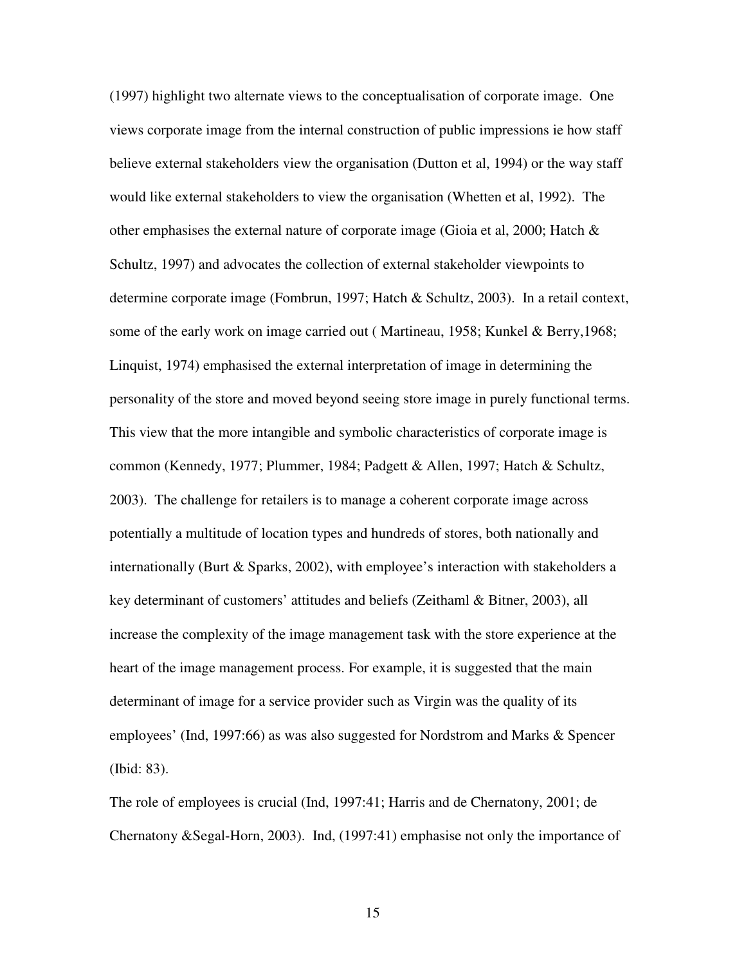(1997) highlight two alternate views to the conceptualisation of corporate image. One views corporate image from the internal construction of public impressions ie how staff believe external stakeholders view the organisation (Dutton et al, 1994) or the way staff would like external stakeholders to view the organisation (Whetten et al, 1992). The other emphasises the external nature of corporate image (Gioia et al, 2000; Hatch  $\&$ Schultz, 1997) and advocates the collection of external stakeholder viewpoints to determine corporate image (Fombrun, 1997; Hatch & Schultz, 2003). In a retail context, some of the early work on image carried out ( Martineau, 1958; Kunkel & Berry,1968; Linquist, 1974) emphasised the external interpretation of image in determining the personality of the store and moved beyond seeing store image in purely functional terms. This view that the more intangible and symbolic characteristics of corporate image is common (Kennedy, 1977; Plummer, 1984; Padgett & Allen, 1997; Hatch & Schultz, 2003). The challenge for retailers is to manage a coherent corporate image across potentially a multitude of location types and hundreds of stores, both nationally and internationally (Burt & Sparks, 2002), with employee's interaction with stakeholders a key determinant of customers' attitudes and beliefs (Zeithaml & Bitner, 2003), all increase the complexity of the image management task with the store experience at the heart of the image management process. For example, it is suggested that the main determinant of image for a service provider such as Virgin was the quality of its employees' (Ind, 1997:66) as was also suggested for Nordstrom and Marks & Spencer (Ibid: 83).

The role of employees is crucial (Ind, 1997:41; Harris and de Chernatony, 2001; de Chernatony &Segal-Horn, 2003). Ind, (1997:41) emphasise not only the importance of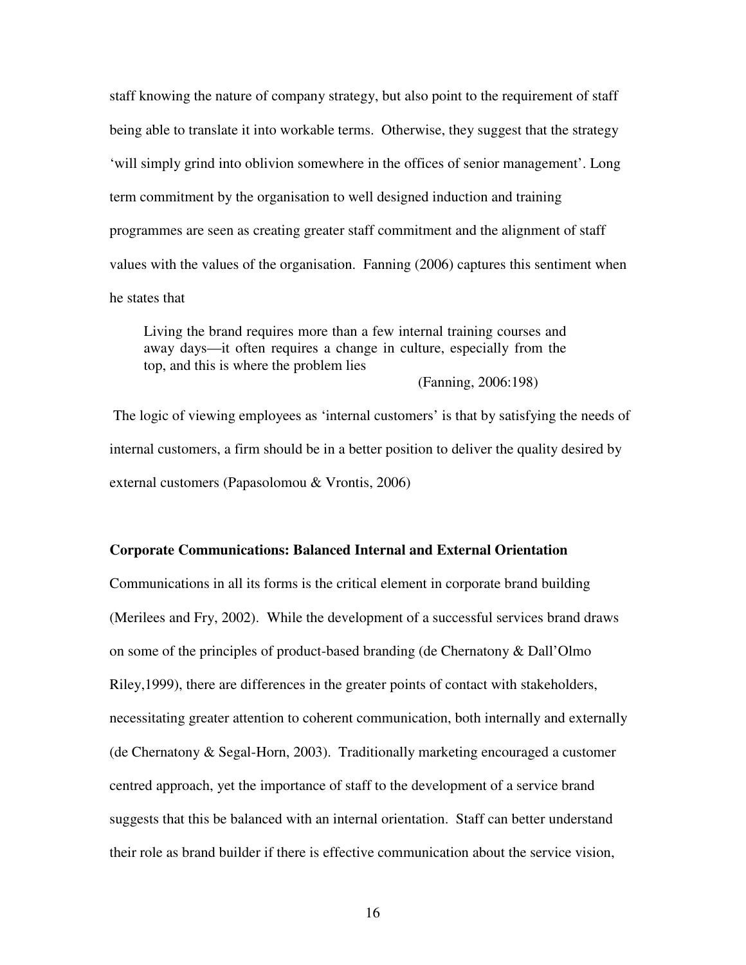staff knowing the nature of company strategy, but also point to the requirement of staff being able to translate it into workable terms. Otherwise, they suggest that the strategy 'will simply grind into oblivion somewhere in the offices of senior management'. Long term commitment by the organisation to well designed induction and training programmes are seen as creating greater staff commitment and the alignment of staff values with the values of the organisation. Fanning (2006) captures this sentiment when he states that

Living the brand requires more than a few internal training courses and away days—it often requires a change in culture, especially from the top, and this is where the problem lies

(Fanning, 2006:198)

 The logic of viewing employees as 'internal customers' is that by satisfying the needs of internal customers, a firm should be in a better position to deliver the quality desired by external customers (Papasolomou & Vrontis, 2006)

#### **Corporate Communications: Balanced Internal and External Orientation**

Communications in all its forms is the critical element in corporate brand building (Merilees and Fry, 2002). While the development of a successful services brand draws on some of the principles of product-based branding (de Chernatony & Dall'Olmo Riley,1999), there are differences in the greater points of contact with stakeholders, necessitating greater attention to coherent communication, both internally and externally (de Chernatony & Segal-Horn, 2003). Traditionally marketing encouraged a customer centred approach, yet the importance of staff to the development of a service brand suggests that this be balanced with an internal orientation. Staff can better understand their role as brand builder if there is effective communication about the service vision,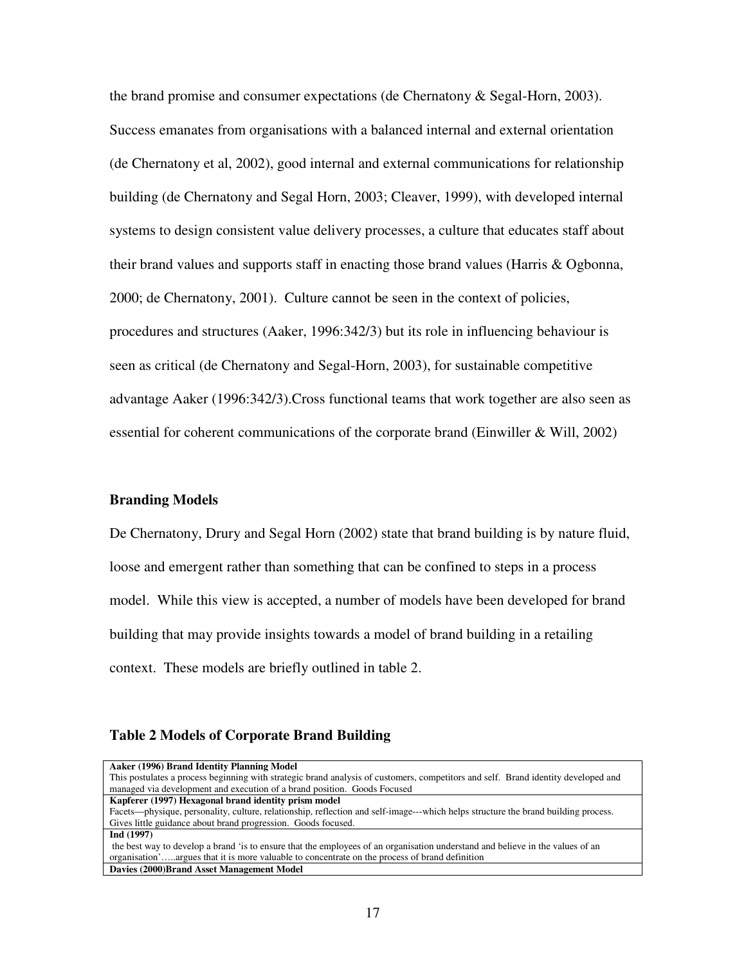the brand promise and consumer expectations (de Chernatony & Segal-Horn, 2003). Success emanates from organisations with a balanced internal and external orientation (de Chernatony et al, 2002), good internal and external communications for relationship building (de Chernatony and Segal Horn, 2003; Cleaver, 1999), with developed internal systems to design consistent value delivery processes, a culture that educates staff about their brand values and supports staff in enacting those brand values (Harris & Ogbonna, 2000; de Chernatony, 2001). Culture cannot be seen in the context of policies, procedures and structures (Aaker, 1996:342/3) but its role in influencing behaviour is seen as critical (de Chernatony and Segal-Horn, 2003), for sustainable competitive advantage Aaker (1996:342/3).Cross functional teams that work together are also seen as essential for coherent communications of the corporate brand (Einwiller & Will, 2002)

#### **Branding Models**

De Chernatony, Drury and Segal Horn (2002) state that brand building is by nature fluid, loose and emergent rather than something that can be confined to steps in a process model. While this view is accepted, a number of models have been developed for brand building that may provide insights towards a model of brand building in a retailing context. These models are briefly outlined in table 2.

#### **Table 2 Models of Corporate Brand Building**

| Aaker (1996) Brand Identity Planning Model                                                                                         |
|------------------------------------------------------------------------------------------------------------------------------------|
| This postulates a process beginning with strategic brand analysis of customers, competitors and self. Brand identity developed and |
| managed via development and execution of a brand position. Goods Focused                                                           |
| Kapferer (1997) Hexagonal brand identity prism model                                                                               |
| Facets—physique, personality, culture, relationship, reflection and self-image---which helps structure the brand building process. |
| Gives little guidance about brand progression. Goods focused.                                                                      |
| Ind (1997)                                                                                                                         |
| the best way to develop a brand 'is to ensure that the employees of an organisation understand and believe in the values of an     |
| organisation'argues that it is more valuable to concentrate on the process of brand definition                                     |
| Davies (2000)Brand Asset Management Model                                                                                          |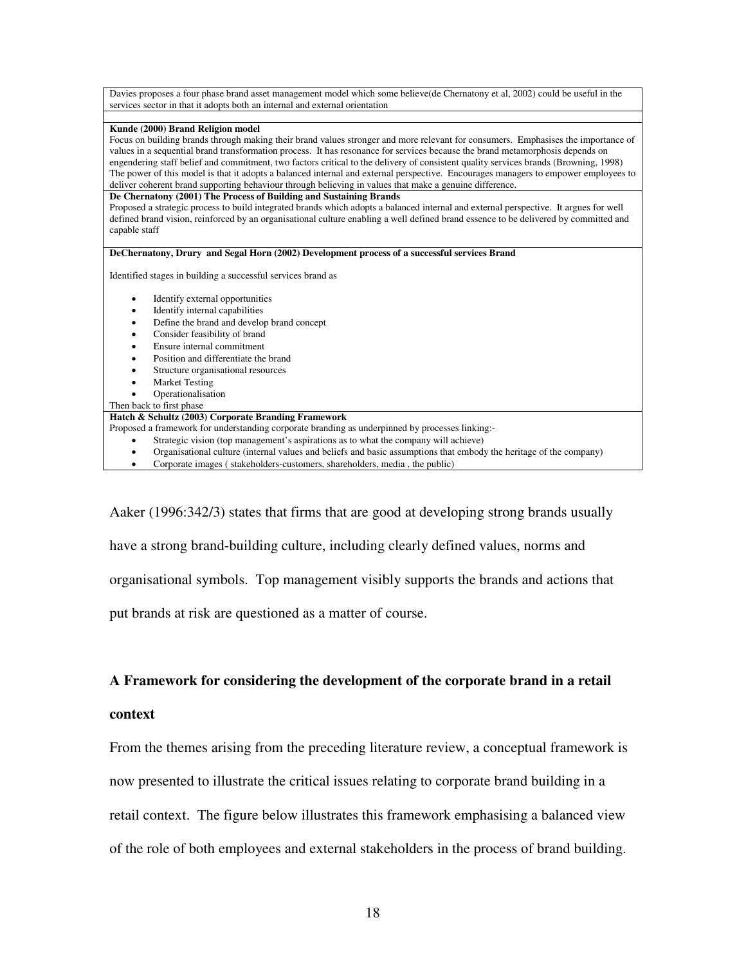| Davies proposes a four phase brand asset management model which some believe(de Chernatony et al, 2002) could be useful in the                                                                                                                                        |
|-----------------------------------------------------------------------------------------------------------------------------------------------------------------------------------------------------------------------------------------------------------------------|
| services sector in that it adopts both an internal and external orientation                                                                                                                                                                                           |
|                                                                                                                                                                                                                                                                       |
| Kunde (2000) Brand Religion model                                                                                                                                                                                                                                     |
| Focus on building brands through making their brand values stronger and more relevant for consumers. Emphasises the importance of                                                                                                                                     |
| values in a sequential brand transformation process. It has resonance for services because the brand metamorphosis depends on<br>engendering staff belief and commitment, two factors critical to the delivery of consistent quality services brands (Browning, 1998) |
| The power of this model is that it adopts a balanced internal and external perspective. Encourages managers to empower employees to                                                                                                                                   |
| deliver coherent brand supporting behaviour through believing in values that make a genuine difference.                                                                                                                                                               |
| De Chernatony (2001) The Process of Building and Sustaining Brands                                                                                                                                                                                                    |
| Proposed a strategic process to build integrated brands which adopts a balanced internal and external perspective. It argues for well                                                                                                                                 |
| defined brand vision, reinforced by an organisational culture enabling a well defined brand essence to be delivered by committed and                                                                                                                                  |
| capable staff                                                                                                                                                                                                                                                         |
|                                                                                                                                                                                                                                                                       |
| DeChernatony, Drury and Segal Horn (2002) Development process of a successful services Brand                                                                                                                                                                          |
|                                                                                                                                                                                                                                                                       |
| Identified stages in building a successful services brand as                                                                                                                                                                                                          |
| Identify external opportunities<br>٠                                                                                                                                                                                                                                  |
| Identify internal capabilities<br>٠                                                                                                                                                                                                                                   |
| Define the brand and develop brand concept<br>٠                                                                                                                                                                                                                       |
| Consider feasibility of brand                                                                                                                                                                                                                                         |
| Ensure internal commitment                                                                                                                                                                                                                                            |
| Position and differentiate the brand                                                                                                                                                                                                                                  |
| Structure organisational resources                                                                                                                                                                                                                                    |
| <b>Market Testing</b>                                                                                                                                                                                                                                                 |
| Operationalisation                                                                                                                                                                                                                                                    |
| Then back to first phase                                                                                                                                                                                                                                              |
| Hatch & Schultz (2003) Corporate Branding Framework                                                                                                                                                                                                                   |
| Proposed a framework for understanding corporate branding as underpinned by processes linking:-                                                                                                                                                                       |
| Strategic vision (top management's aspirations as to what the company will achieve)                                                                                                                                                                                   |
| Organisational culture (internal values and beliefs and basic assumptions that embody the heritage of the company)                                                                                                                                                    |
| Corporate images (stakeholders-customers, shareholders, media, the public)<br>٠                                                                                                                                                                                       |

Aaker (1996:342/3) states that firms that are good at developing strong brands usually have a strong brand-building culture, including clearly defined values, norms and organisational symbols. Top management visibly supports the brands and actions that put brands at risk are questioned as a matter of course.

#### **A Framework for considering the development of the corporate brand in a retail**

#### **context**

From the themes arising from the preceding literature review, a conceptual framework is now presented to illustrate the critical issues relating to corporate brand building in a retail context. The figure below illustrates this framework emphasising a balanced view of the role of both employees and external stakeholders in the process of brand building.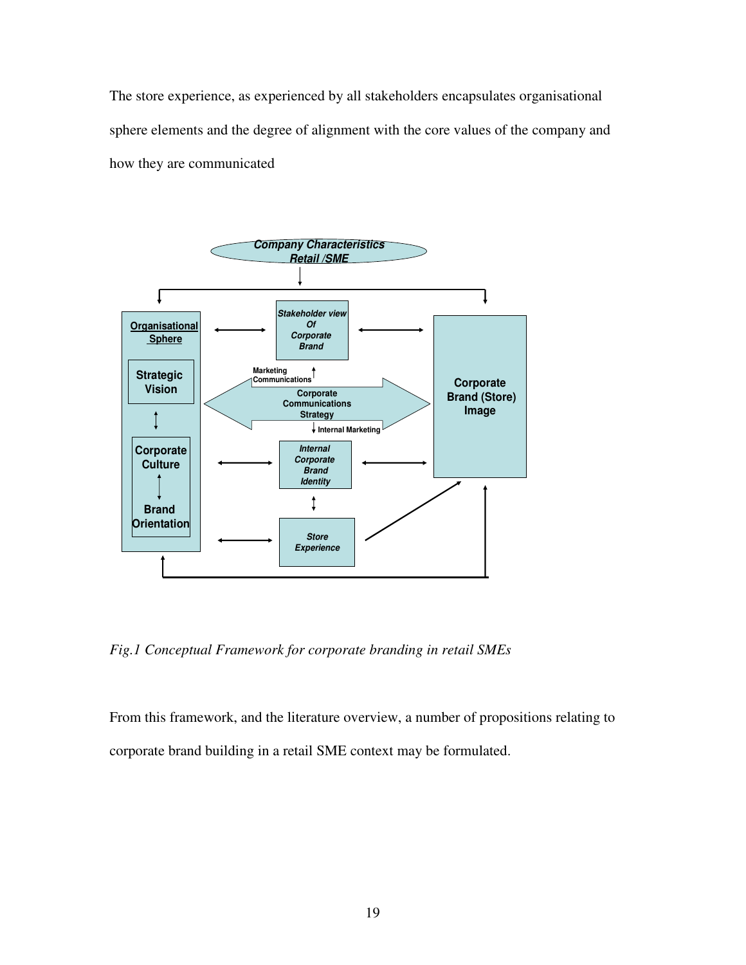The store experience, as experienced by all stakeholders encapsulates organisational sphere elements and the degree of alignment with the core values of the company and how they are communicated



*Fig.1 Conceptual Framework for corporate branding in retail SMEs* 

From this framework, and the literature overview, a number of propositions relating to corporate brand building in a retail SME context may be formulated.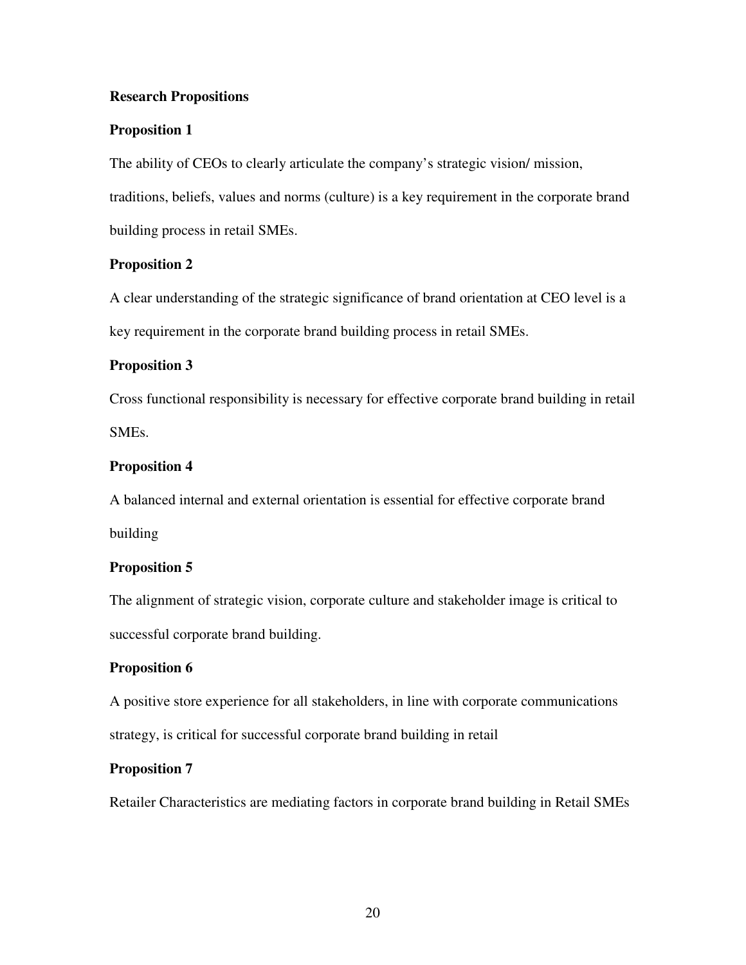#### **Research Propositions**

#### **Proposition 1**

The ability of CEOs to clearly articulate the company's strategic vision/ mission, traditions, beliefs, values and norms (culture) is a key requirement in the corporate brand building process in retail SMEs.

#### **Proposition 2**

A clear understanding of the strategic significance of brand orientation at CEO level is a key requirement in the corporate brand building process in retail SMEs.

#### **Proposition 3**

Cross functional responsibility is necessary for effective corporate brand building in retail SMEs.

#### **Proposition 4**

A balanced internal and external orientation is essential for effective corporate brand building

#### **Proposition 5**

The alignment of strategic vision, corporate culture and stakeholder image is critical to successful corporate brand building.

#### **Proposition 6**

A positive store experience for all stakeholders, in line with corporate communications strategy, is critical for successful corporate brand building in retail

#### **Proposition 7**

Retailer Characteristics are mediating factors in corporate brand building in Retail SMEs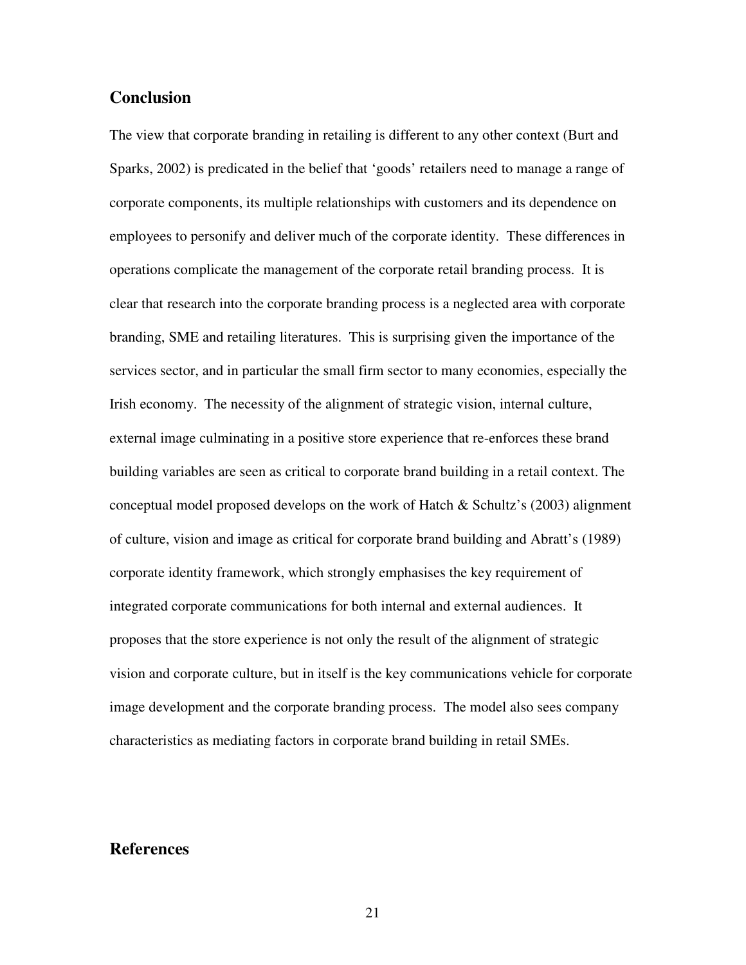#### **Conclusion**

The view that corporate branding in retailing is different to any other context (Burt and Sparks, 2002) is predicated in the belief that 'goods' retailers need to manage a range of corporate components, its multiple relationships with customers and its dependence on employees to personify and deliver much of the corporate identity. These differences in operations complicate the management of the corporate retail branding process. It is clear that research into the corporate branding process is a neglected area with corporate branding, SME and retailing literatures. This is surprising given the importance of the services sector, and in particular the small firm sector to many economies, especially the Irish economy. The necessity of the alignment of strategic vision, internal culture, external image culminating in a positive store experience that re-enforces these brand building variables are seen as critical to corporate brand building in a retail context. The conceptual model proposed develops on the work of Hatch & Schultz's (2003) alignment of culture, vision and image as critical for corporate brand building and Abratt's (1989) corporate identity framework, which strongly emphasises the key requirement of integrated corporate communications for both internal and external audiences. It proposes that the store experience is not only the result of the alignment of strategic vision and corporate culture, but in itself is the key communications vehicle for corporate image development and the corporate branding process. The model also sees company characteristics as mediating factors in corporate brand building in retail SMEs.

#### **References**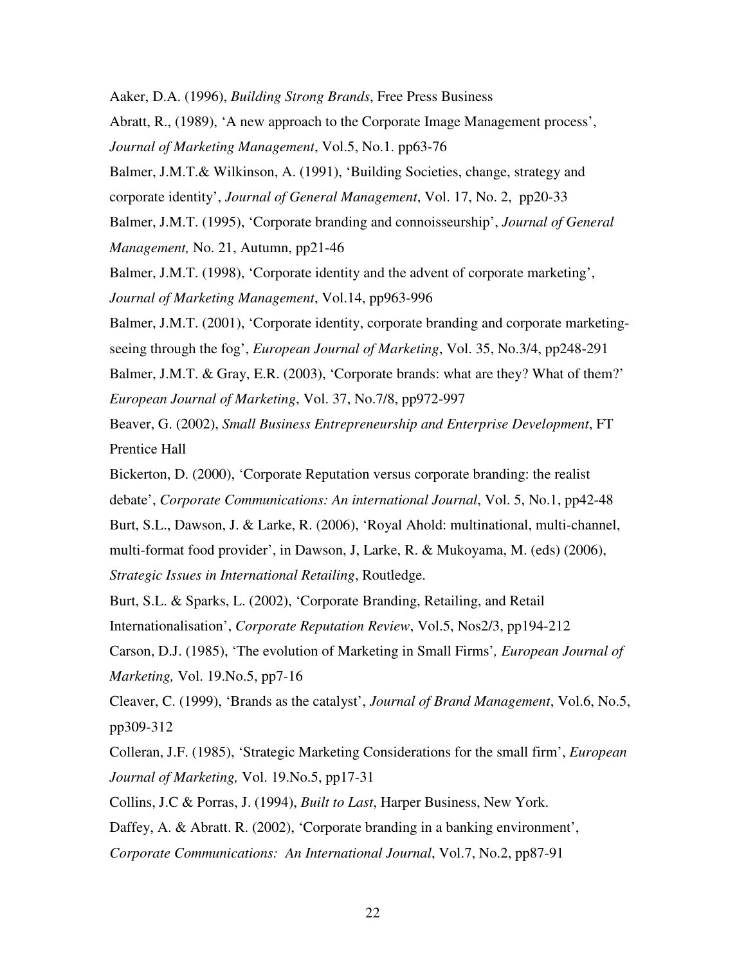Aaker, D.A. (1996), *Building Strong Brands*, Free Press Business

Abratt, R., (1989), 'A new approach to the Corporate Image Management process', *Journal of Marketing Management*, Vol.5, No.1. pp63-76

Balmer, J.M.T.& Wilkinson, A. (1991), 'Building Societies, change, strategy and

corporate identity', *Journal of General Management*, Vol. 17, No. 2, pp20-33

Balmer, J.M.T. (1995), 'Corporate branding and connoisseurship', *Journal of General Management,* No. 21, Autumn, pp21-46

Balmer, J.M.T. (1998), 'Corporate identity and the advent of corporate marketing', *Journal of Marketing Management*, Vol.14, pp963-996

Balmer, J.M.T. (2001), 'Corporate identity, corporate branding and corporate marketing-

seeing through the fog', *European Journal of Marketing*, Vol. 35, No.3/4, pp248-291

Balmer, J.M.T. & Gray, E.R. (2003), 'Corporate brands: what are they? What of them?' *European Journal of Marketing*, Vol. 37, No.7/8, pp972-997

Beaver, G. (2002), *Small Business Entrepreneurship and Enterprise Development*, FT Prentice Hall

Bickerton, D. (2000), 'Corporate Reputation versus corporate branding: the realist

debate', *Corporate Communications: An international Journal*, Vol. 5, No.1, pp42-48

Burt, S.L., Dawson, J. & Larke, R. (2006), 'Royal Ahold: multinational, multi-channel,

multi-format food provider', in Dawson, J, Larke, R. & Mukoyama, M. (eds) (2006),

*Strategic Issues in International Retailing*, Routledge.

Burt, S.L. & Sparks, L. (2002), 'Corporate Branding, Retailing, and Retail Internationalisation', *Corporate Reputation Review*, Vol.5, Nos2/3, pp194-212

Carson, D.J. (1985), 'The evolution of Marketing in Small Firms'*, European Journal of Marketing,* Vol. 19.No.5, pp7-16

Cleaver, C. (1999), 'Brands as the catalyst', *Journal of Brand Management*, Vol.6, No.5, pp309-312

Colleran, J.F. (1985), 'Strategic Marketing Considerations for the small firm', *European Journal of Marketing,* Vol. 19.No.5, pp17-31

Collins, J.C & Porras, J. (1994), *Built to Last*, Harper Business, New York.

Daffey, A. & Abratt. R. (2002), 'Corporate branding in a banking environment',

*Corporate Communications: An International Journal*, Vol.7, No.2, pp87-91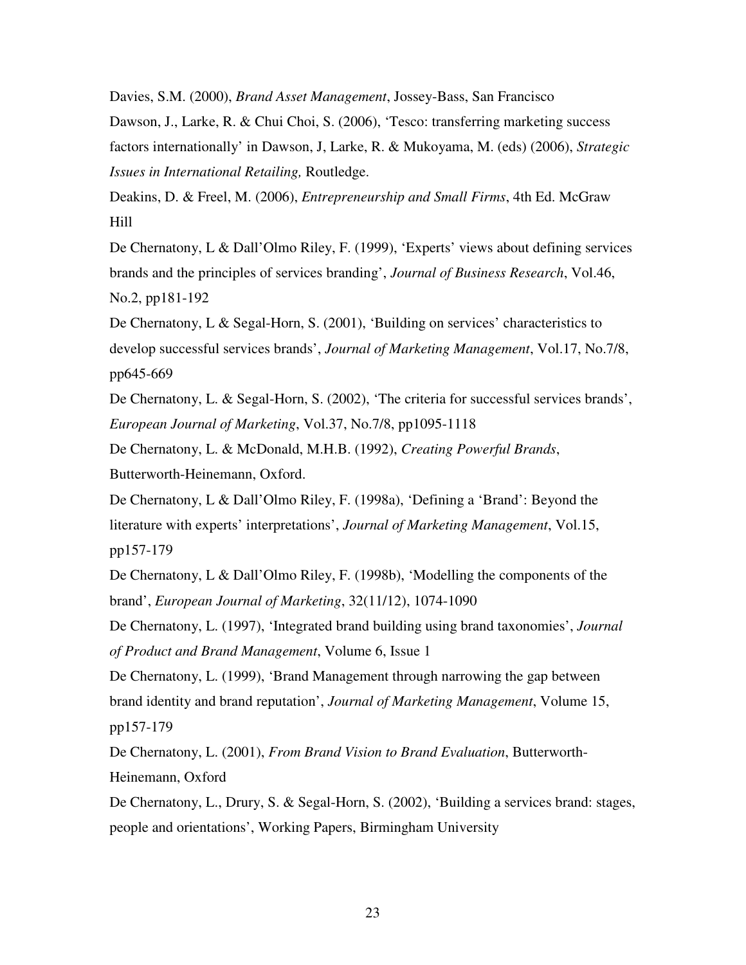Davies, S.M. (2000), *Brand Asset Management*, Jossey-Bass, San Francisco Dawson, J., Larke, R. & Chui Choi, S. (2006), 'Tesco: transferring marketing success factors internationally' in Dawson, J, Larke, R. & Mukoyama, M. (eds) (2006), *Strategic Issues in International Retailing,* Routledge.

Deakins, D. & Freel, M. (2006), *Entrepreneurship and Small Firms*, 4th Ed. McGraw Hill

De Chernatony, L & Dall'Olmo Riley, F. (1999), 'Experts' views about defining services brands and the principles of services branding', *Journal of Business Research*, Vol.46, No.2, pp181-192

De Chernatony, L & Segal-Horn, S. (2001), 'Building on services' characteristics to develop successful services brands', *Journal of Marketing Management*, Vol.17, No.7/8, pp645-669

De Chernatony, L. & Segal-Horn, S. (2002), 'The criteria for successful services brands', *European Journal of Marketing*, Vol.37, No.7/8, pp1095-1118

De Chernatony, L. & McDonald, M.H.B. (1992), *Creating Powerful Brands*, Butterworth-Heinemann, Oxford.

De Chernatony, L & Dall'Olmo Riley, F. (1998a), 'Defining a 'Brand': Beyond the literature with experts' interpretations', *Journal of Marketing Management*, Vol.15, pp157-179

De Chernatony, L & Dall'Olmo Riley, F. (1998b), 'Modelling the components of the brand', *European Journal of Marketing*, 32(11/12), 1074-1090

De Chernatony, L. (1997), 'Integrated brand building using brand taxonomies', *Journal of Product and Brand Management*, Volume 6, Issue 1

De Chernatony, L. (1999), 'Brand Management through narrowing the gap between brand identity and brand reputation', *Journal of Marketing Management*, Volume 15, pp157-179

De Chernatony, L. (2001), *From Brand Vision to Brand Evaluation*, Butterworth-Heinemann, Oxford

De Chernatony, L., Drury, S. & Segal-Horn, S. (2002), 'Building a services brand: stages, people and orientations', Working Papers, Birmingham University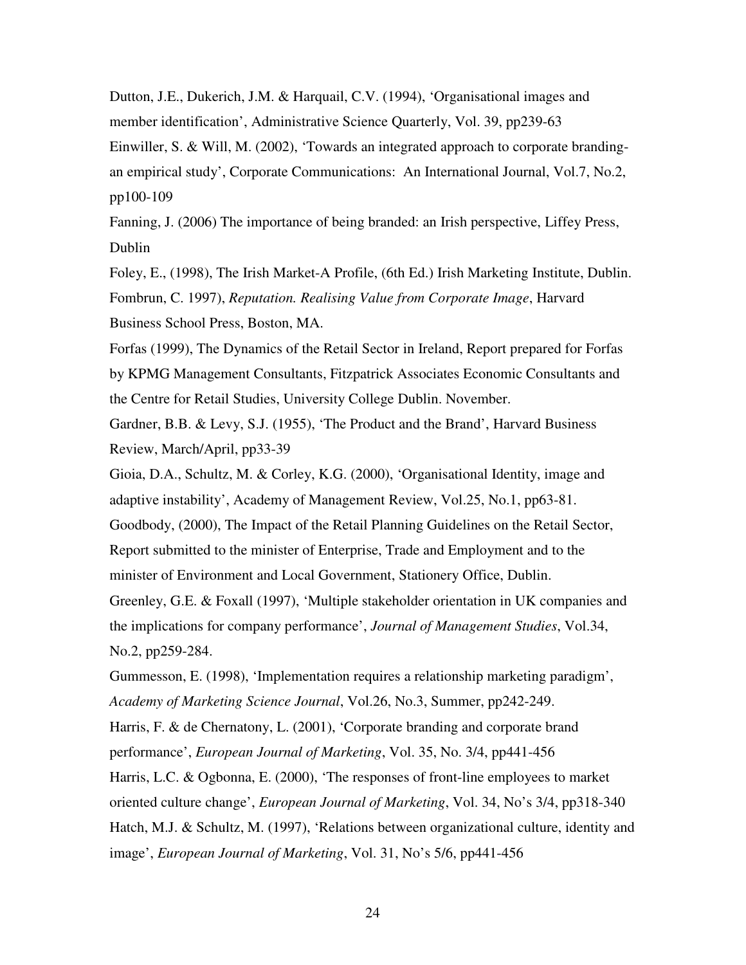Dutton, J.E., Dukerich, J.M. & Harquail, C.V. (1994), 'Organisational images and member identification', Administrative Science Quarterly, Vol. 39, pp239-63 Einwiller, S. & Will, M. (2002), 'Towards an integrated approach to corporate brandingan empirical study', Corporate Communications: An International Journal, Vol.7, No.2, pp100-109

Fanning, J. (2006) The importance of being branded: an Irish perspective, Liffey Press, Dublin

Foley, E., (1998), The Irish Market-A Profile, (6th Ed.) Irish Marketing Institute, Dublin. Fombrun, C. 1997), *Reputation. Realising Value from Corporate Image*, Harvard Business School Press, Boston, MA.

Forfas (1999), The Dynamics of the Retail Sector in Ireland, Report prepared for Forfas by KPMG Management Consultants, Fitzpatrick Associates Economic Consultants and the Centre for Retail Studies, University College Dublin. November.

Gardner, B.B. & Levy, S.J. (1955), 'The Product and the Brand', Harvard Business Review, March/April, pp33-39

Gioia, D.A., Schultz, M. & Corley, K.G. (2000), 'Organisational Identity, image and adaptive instability', Academy of Management Review, Vol.25, No.1, pp63-81.

Goodbody, (2000), The Impact of the Retail Planning Guidelines on the Retail Sector,

Report submitted to the minister of Enterprise, Trade and Employment and to the

minister of Environment and Local Government, Stationery Office, Dublin.

Greenley, G.E. & Foxall (1997), 'Multiple stakeholder orientation in UK companies and the implications for company performance', *Journal of Management Studies*, Vol.34, No.2, pp259-284.

Gummesson, E. (1998), 'Implementation requires a relationship marketing paradigm', *Academy of Marketing Science Journal*, Vol.26, No.3, Summer, pp242-249.

Harris, F. & de Chernatony, L. (2001), 'Corporate branding and corporate brand

performance', *European Journal of Marketing*, Vol. 35, No. 3/4, pp441-456

Harris, L.C. & Ogbonna, E. (2000), 'The responses of front-line employees to market

oriented culture change', *European Journal of Marketing*, Vol. 34, No's 3/4, pp318-340

Hatch, M.J. & Schultz, M. (1997), 'Relations between organizational culture, identity and image', *European Journal of Marketing*, Vol. 31, No's 5/6, pp441-456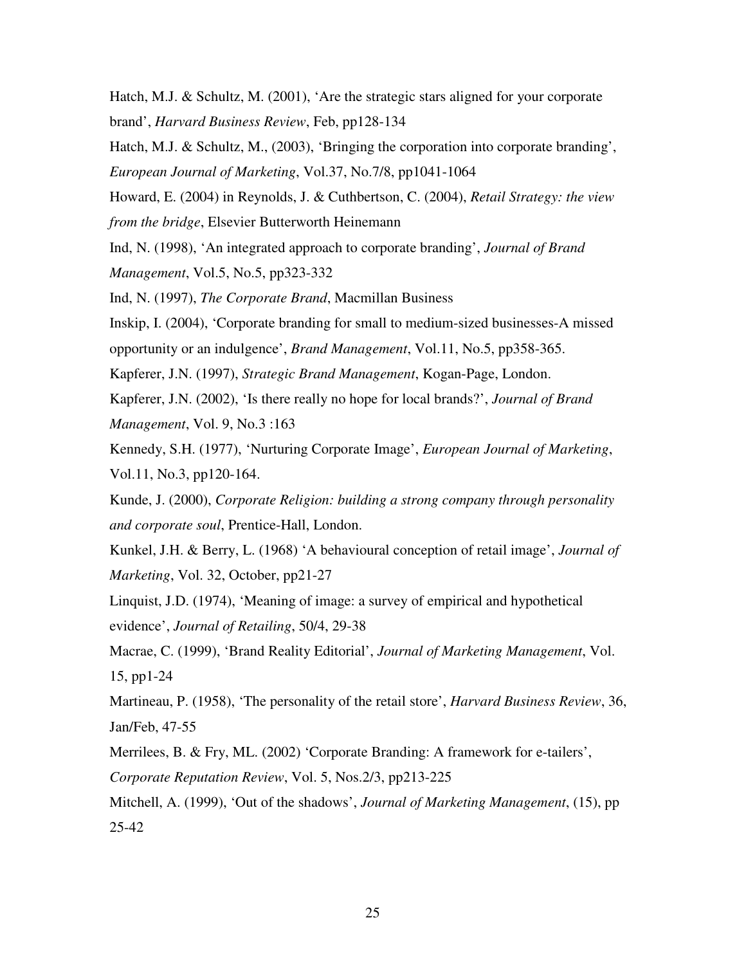Hatch, M.J. & Schultz, M. (2001), 'Are the strategic stars aligned for your corporate brand', *Harvard Business Review*, Feb, pp128-134

Hatch, M.J. & Schultz, M., (2003), 'Bringing the corporation into corporate branding', *European Journal of Marketing*, Vol.37, No.7/8, pp1041-1064

Howard, E. (2004) in Reynolds, J. & Cuthbertson, C. (2004), *Retail Strategy: the view from the bridge*, Elsevier Butterworth Heinemann

Ind, N. (1998), 'An integrated approach to corporate branding', *Journal of Brand Management*, Vol.5, No.5, pp323-332

Ind, N. (1997), *The Corporate Brand*, Macmillan Business

Inskip, I. (2004), 'Corporate branding for small to medium-sized businesses-A missed

opportunity or an indulgence', *Brand Management*, Vol.11, No.5, pp358-365.

Kapferer, J.N. (1997), *Strategic Brand Management*, Kogan-Page, London.

Kapferer, J.N. (2002), 'Is there really no hope for local brands?', *Journal of Brand Management*, Vol. 9, No.3 :163

Kennedy, S.H. (1977), 'Nurturing Corporate Image', *European Journal of Marketing*, Vol.11, No.3, pp120-164.

Kunde, J. (2000), *Corporate Religion: building a strong company through personality and corporate soul*, Prentice-Hall, London.

Kunkel, J.H. & Berry, L. (1968) 'A behavioural conception of retail image', *Journal of Marketing*, Vol. 32, October, pp21-27

Linquist, J.D. (1974), 'Meaning of image: a survey of empirical and hypothetical evidence', *Journal of Retailing*, 50/4, 29-38

Macrae, C. (1999), 'Brand Reality Editorial', *Journal of Marketing Management*, Vol. 15, pp1-24

Martineau, P. (1958), 'The personality of the retail store', *Harvard Business Review*, 36, Jan/Feb, 47-55

Merrilees, B. & Fry, ML. (2002) 'Corporate Branding: A framework for e-tailers',

*Corporate Reputation Review*, Vol. 5, Nos.2/3, pp213-225

Mitchell, A. (1999), 'Out of the shadows', *Journal of Marketing Management*, (15), pp 25-42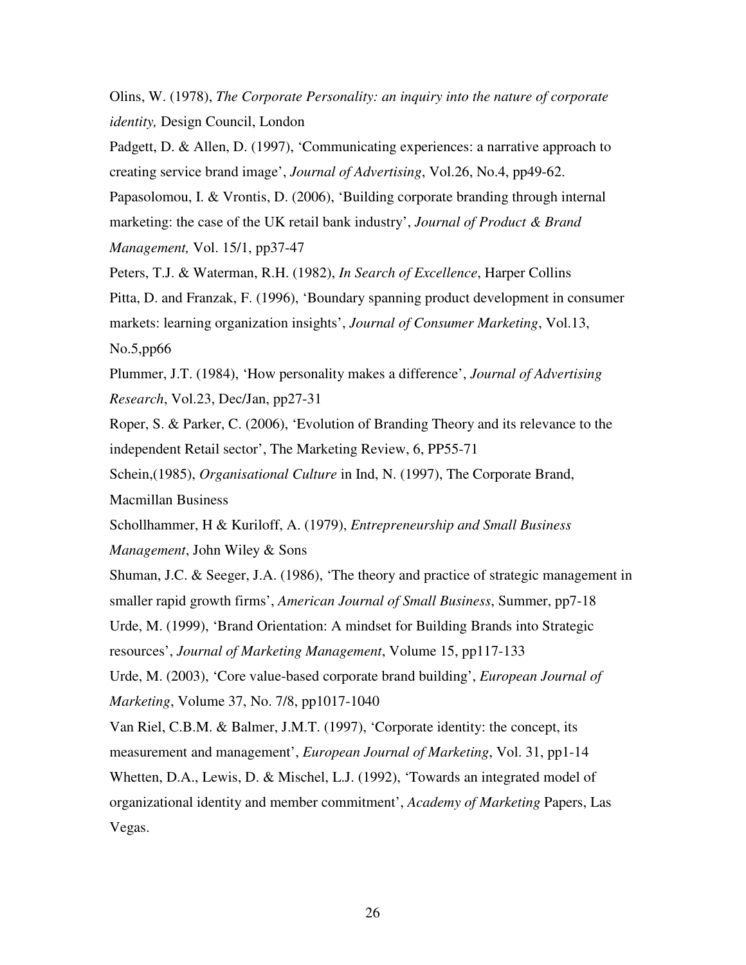Olins, W. (1978), *The Corporate Personality: an inquiry into the nature of corporate identity,* Design Council, London

Padgett, D. & Allen, D. (1997), 'Communicating experiences: a narrative approach to creating service brand image', *Journal of Advertising*, Vol.26, No.4, pp49-62.

Papasolomou, I. & Vrontis, D. (2006), 'Building corporate branding through internal marketing: the case of the UK retail bank industry', *Journal of Product & Brand Management,* Vol. 15/1, pp37-47

Peters, T.J. & Waterman, R.H. (1982), *In Search of Excellence*, Harper Collins Pitta, D. and Franzak, F. (1996), 'Boundary spanning product development in consumer markets: learning organization insights', *Journal of Consumer Marketing*, Vol.13, No.5,pp66

Plummer, J.T. (1984), 'How personality makes a difference', *Journal of Advertising Research*, Vol.23, Dec/Jan, pp27-31

Roper, S. & Parker, C. (2006), 'Evolution of Branding Theory and its relevance to the independent Retail sector', The Marketing Review, 6, PP55-71

Schein,(1985), *Organisational Culture* in Ind, N. (1997), The Corporate Brand, Macmillan Business

Schollhammer, H & Kuriloff, A. (1979), *Entrepreneurship and Small Business Management*, John Wiley & Sons

Shuman, J.C. & Seeger, J.A. (1986), 'The theory and practice of strategic management in smaller rapid growth firms', *American Journal of Small Business*, Summer, pp7-18 Urde, M. (1999), 'Brand Orientation: A mindset for Building Brands into Strategic resources', *Journal of Marketing Management*, Volume 15, pp117-133

Urde, M. (2003), 'Core value-based corporate brand building', *European Journal of Marketing*, Volume 37, No. 7/8, pp1017-1040

Van Riel, C.B.M. & Balmer, J.M.T. (1997), 'Corporate identity: the concept, its measurement and management', *European Journal of Marketing*, Vol. 31, pp1-14

Whetten, D.A., Lewis, D. & Mischel, L.J. (1992), 'Towards an integrated model of organizational identity and member commitment', *Academy of Marketing* Papers, Las Vegas.